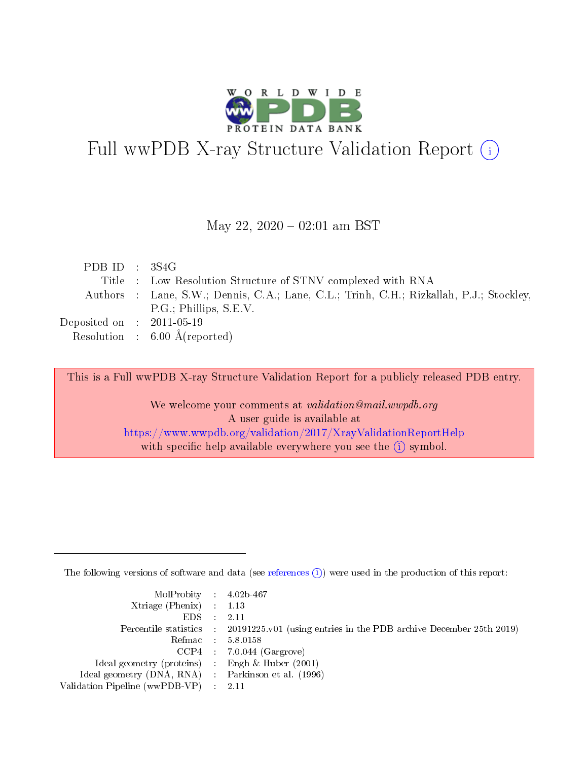

# Full wwPDB X-ray Structure Validation Report (i)

#### May 22,  $2020 - 02:01$  am BST

| PDBID : 3S4G                |                                                                                         |
|-----------------------------|-----------------------------------------------------------------------------------------|
|                             | Title : Low Resolution Structure of STNV complexed with RNA                             |
|                             | Authors : Lane, S.W.; Dennis, C.A.; Lane, C.L.; Trinh, C.H.; Rizkallah, P.J.; Stockley, |
|                             | P.G.; Phillips, S.E.V.                                                                  |
| Deposited on : $2011-05-19$ |                                                                                         |
|                             | Resolution : $6.00 \text{ Å}$ (reported)                                                |

This is a Full wwPDB X-ray Structure Validation Report for a publicly released PDB entry.

We welcome your comments at validation@mail.wwpdb.org A user guide is available at <https://www.wwpdb.org/validation/2017/XrayValidationReportHelp> with specific help available everywhere you see the  $(i)$  symbol.

The following versions of software and data (see [references](https://www.wwpdb.org/validation/2017/XrayValidationReportHelp#references)  $(i)$ ) were used in the production of this report:

| MolProbity : 4.02b-467                              |                                                                                            |
|-----------------------------------------------------|--------------------------------------------------------------------------------------------|
| $Xtriangle (Phenix)$ : 1.13                         |                                                                                            |
| $EDS = 2.11$                                        |                                                                                            |
|                                                     | Percentile statistics : 20191225.v01 (using entries in the PDB archive December 25th 2019) |
|                                                     | Refmac : 5.8.0158                                                                          |
|                                                     | $CCP4$ : 7.0.044 (Gargrove)                                                                |
| Ideal geometry (proteins) : Engh $\&$ Huber (2001)  |                                                                                            |
| Ideal geometry (DNA, RNA) : Parkinson et al. (1996) |                                                                                            |
| Validation Pipeline (wwPDB-VP) : 2.11               |                                                                                            |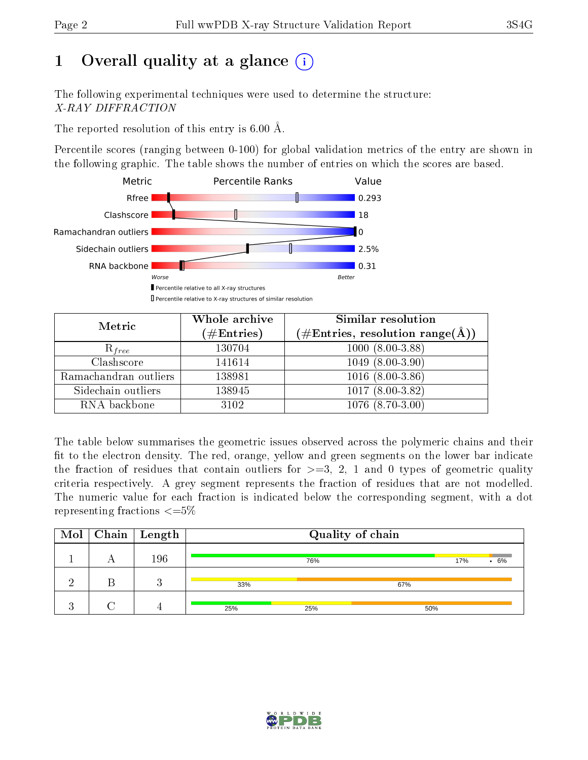# 1 [O](https://www.wwpdb.org/validation/2017/XrayValidationReportHelp#overall_quality)verall quality at a glance  $(i)$

The following experimental techniques were used to determine the structure: X-RAY DIFFRACTION

The reported resolution of this entry is  $6.00 \text{ Å}.$ 

Percentile scores (ranging between 0-100) for global validation metrics of the entry are shown in the following graphic. The table shows the number of entries on which the scores are based.



| Metric                | Whole archive<br>$(\#\text{Entries})$ | Similar resolution<br>$(\#\text{Entries},\, \text{resolution}\; \text{range}(\textup{\AA}))$ |
|-----------------------|---------------------------------------|----------------------------------------------------------------------------------------------|
| $R_{free}$            | 130704                                | $1000(8.00-3.88)$                                                                            |
| Clashscore            | 141614                                | $1049(8.00-3.90)$                                                                            |
| Ramachandran outliers | 138981                                | $1016(8.00-3.86)$                                                                            |
| Sidechain outliers    | 138945                                | $1017(8.00-3.82)$                                                                            |
| RNA backbone          | 3102                                  | $1076(8.70-3.00)$                                                                            |

The table below summarises the geometric issues observed across the polymeric chains and their fit to the electron density. The red, orange, yellow and green segments on the lower bar indicate the fraction of residues that contain outliers for  $>=3, 2, 1$  and 0 types of geometric quality criteria respectively. A grey segment represents the fraction of residues that are not modelled. The numeric value for each fraction is indicated below the corresponding segment, with a dot representing fractions  $\epsilon = 5\%$ 

|   | $\text{Mol}$   Chain   Length |     |     | Quality of chain |     |        |
|---|-------------------------------|-----|-----|------------------|-----|--------|
|   | 196                           |     | 76% |                  | 17% | $.6\%$ |
|   | റ                             | 33% |     | 67%              |     |        |
| c |                               | 25% | 25% | 50%              |     |        |

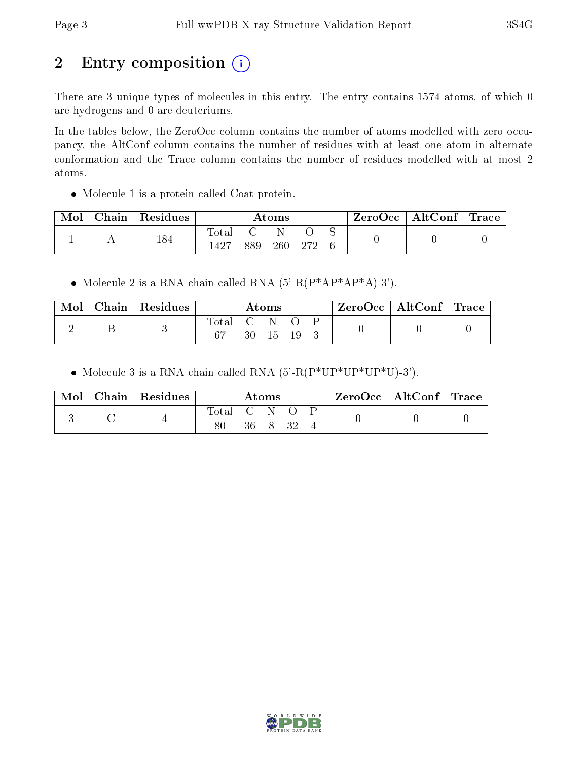# 2 Entry composition (i)

There are 3 unique types of molecules in this entry. The entry contains 1574 atoms, of which 0 are hydrogens and 0 are deuteriums.

In the tables below, the ZeroOcc column contains the number of atoms modelled with zero occupancy, the AltConf column contains the number of residues with at least one atom in alternate conformation and the Trace column contains the number of residues modelled with at most 2 atoms.

Molecule 1 is a protein called Coat protein.

| Mol | Chain   Residues |                |     | $\bm{\mathrm{Atoms}}$ |     |  | ZeroOcc   AltConf   Trace |  |
|-----|------------------|----------------|-----|-----------------------|-----|--|---------------------------|--|
|     | 184              | l'ota.<br>1427 | 889 | 260                   | റൗറ |  |                           |  |

• Molecule 2 is a RNA chain called RNA  $(5'-R(P^*AP^*AP^*A)-3')$ .

| Mol | Chain   Residues |             |                                                              | $\rm{Atoms}$ |  | $\text{ZeroOcc} \mid \text{AltConf} \mid \text{Trace}$ |  |
|-----|------------------|-------------|--------------------------------------------------------------|--------------|--|--------------------------------------------------------|--|
|     |                  | $\rm Total$ | $\mathcal{C} = \mathcal{C}$ . The set of $\mathcal{C}$<br>30 | $\Box$       |  |                                                        |  |

• Molecule 3 is a RNA chain called RNA  $(5'-R(P*UP*UP*UP*U)-3')$ .

| Mol | $\frac{1}{2}$ Chain   Residues |       |    | Atoms |  | $\text{ZeroOcc} \mid \text{AltConf} \mid \text{Trace}$ |  |
|-----|--------------------------------|-------|----|-------|--|--------------------------------------------------------|--|
|     |                                | Total |    |       |  |                                                        |  |
|     |                                |       | 36 |       |  |                                                        |  |

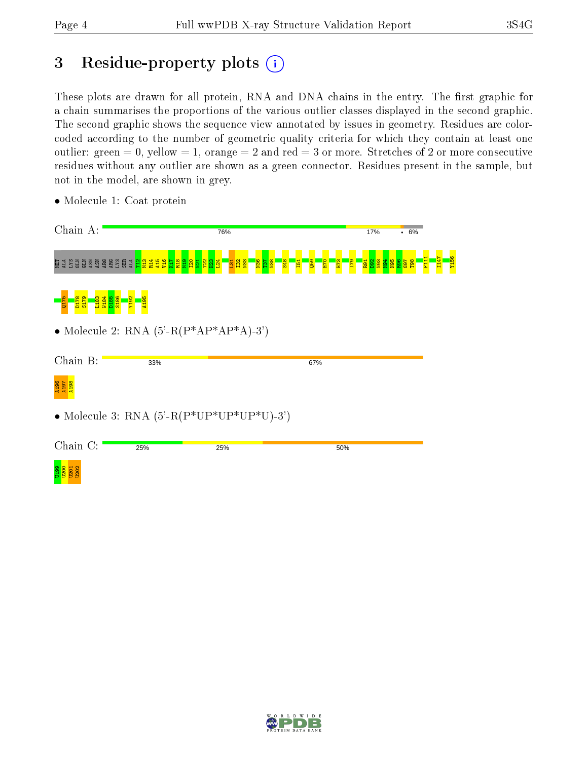# 3 Residue-property plots (i)

These plots are drawn for all protein, RNA and DNA chains in the entry. The first graphic for a chain summarises the proportions of the various outlier classes displayed in the second graphic. The second graphic shows the sequence view annotated by issues in geometry. Residues are colorcoded according to the number of geometric quality criteria for which they contain at least one outlier: green  $= 0$ , yellow  $= 1$ , orange  $= 2$  and red  $= 3$  or more. Stretches of 2 or more consecutive residues without any outlier are shown as a green connector. Residues present in the sample, but not in the model, are shown in grey.

| Chain A:                                                                                      | 76%                                   |                                                                  | 17%<br>.6%                              |                        |
|-----------------------------------------------------------------------------------------------|---------------------------------------|------------------------------------------------------------------|-----------------------------------------|------------------------|
| <u> គ្គី ក្នុង ទ្ធិន្ទ្ធិ និន្ទ្ធិ ដូច្នេ ក្នុង្គី ភូមិ ភូមិ ភូមិ ភូមិ ភូមិ ភូមិ ភូមិ ភ្ន</u> | <mark>ភ្នងខ្នា</mark> ំ<br>\$48<br>E1 | <b>Q59</b><br><b>B</b> <sub>11</sub><br><b>H70</b><br><b>EZH</b> | <mark>ន្ទ្រីខ្ទីខ្ទីខ្ទីខ្ទីខ្ទី</mark> | <b>NEX</b><br>4<br>F11 |
| 1183<br>V184<br>S <sub>186</sub><br>$\mathbb{R}$<br><b>D185</b><br>8<br>ö<br>島<br>품           |                                       |                                                                  |                                         |                        |
| • Molecule 2: RNA $(5'-R(P^*AP^*AP^*A)-3')$                                                   |                                       |                                                                  |                                         |                        |
| Chain B:<br>33%                                                                               |                                       | 67%                                                              |                                         |                        |
| 196<br>197<br>198                                                                             |                                       |                                                                  |                                         |                        |
| • Molecule 3: RNA $(5'-R(P*UP*UP*UP*U)-3')$                                                   |                                       |                                                                  |                                         |                        |
| Chain C:<br>25%                                                                               | 25%                                   | 50%                                                              |                                         |                        |
| <b>D</b><br>0201<br><b>U202</b>                                                               |                                       |                                                                  |                                         |                        |

• Molecule 1: Coat protein

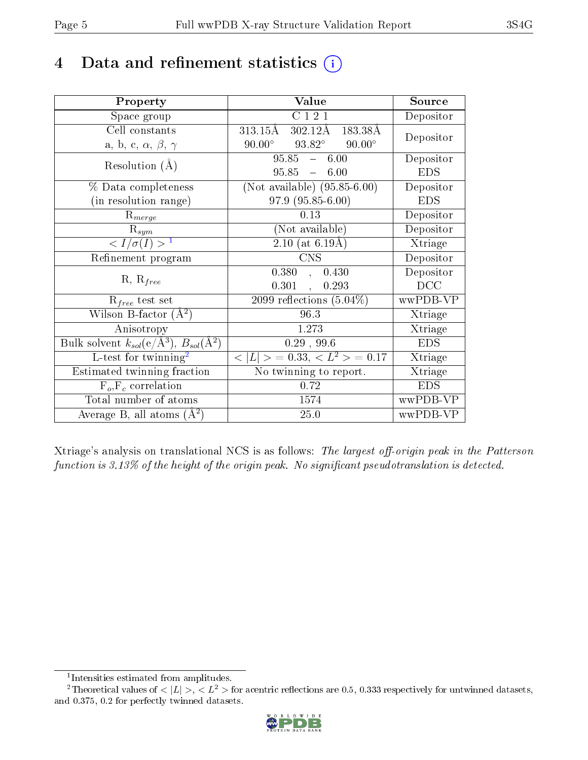# 4 Data and refinement statistics  $(i)$

| Property                                                         | Value                                               | Source     |
|------------------------------------------------------------------|-----------------------------------------------------|------------|
| Space group                                                      | C121                                                | Depositor  |
| Cell constants                                                   | $302.12\text{\AA}$<br>313.15Å<br>183.38Å            | Depositor  |
| a, b, c, $\alpha$ , $\beta$ , $\gamma$                           | $93.82^\circ$<br>$90.00^{\circ}$<br>$90.00^\circ$   |            |
| Resolution $(A)$                                                 | $95.85 - 6.00$                                      | Depositor  |
|                                                                  | $95.85 - 6.00$                                      | <b>EDS</b> |
| % Data completeness                                              | (Not available) $(95.85-6.00)$                      | Depositor  |
| (in resolution range)                                            | 97.9 (95.85-6.00)                                   | <b>EDS</b> |
| $R_{merge}$                                                      | 0.13                                                | Depositor  |
| $\mathrm{R}_{sym}$                                               | (Not available)                                     | Depositor  |
| $\sqrt{I/\sigma}(I) > 1$                                         | $\overline{2.10}$ (at 6.19Å)                        | Xtriage    |
| Refinement program                                               | <b>CNS</b>                                          | Depositor  |
|                                                                  | 0.380<br>0.430<br>$\mathcal{L}$                     | Depositor  |
| $R, R_{free}$                                                    | 0.301<br>0.293<br>$\frac{1}{2}$                     | DCC        |
| $R_{free}$ test set                                              | 2099 reflections $(5.04\%)$                         | wwPDB-VP   |
| Wilson B-factor $(A^2)$                                          | 96.3                                                | Xtriage    |
| Anisotropy                                                       | 1.273                                               | Xtriage    |
| Bulk solvent $k_{sol}(\text{e}/\text{A}^3), B_{sol}(\text{A}^2)$ | 0.29, 99.6                                          | <b>EDS</b> |
| L-test for $\mathrm{twinning}^2$                                 | $\overline{< L >$ = 0.33, $\overline{<}L^2>$ = 0.17 | Xtriage    |
| Estimated twinning fraction                                      | No twinning to report.                              | Xtriage    |
| $F_o, F_c$ correlation                                           | 0.72                                                | <b>EDS</b> |
| Total number of atoms                                            | 1574                                                | wwPDB-VP   |
| Average B, all atoms $(A^2)$                                     | 25.0                                                | wwPDB-VP   |

Xtriage's analysis on translational NCS is as follows: The largest off-origin peak in the Patterson function is  $3.13\%$  of the height of the origin peak. No significant pseudotranslation is detected.

<sup>&</sup>lt;sup>2</sup>Theoretical values of  $\langle |L| \rangle$ ,  $\langle L^2 \rangle$  for acentric reflections are 0.5, 0.333 respectively for untwinned datasets, and 0.375, 0.2 for perfectly twinned datasets.



<span id="page-4-1"></span><span id="page-4-0"></span><sup>1</sup> Intensities estimated from amplitudes.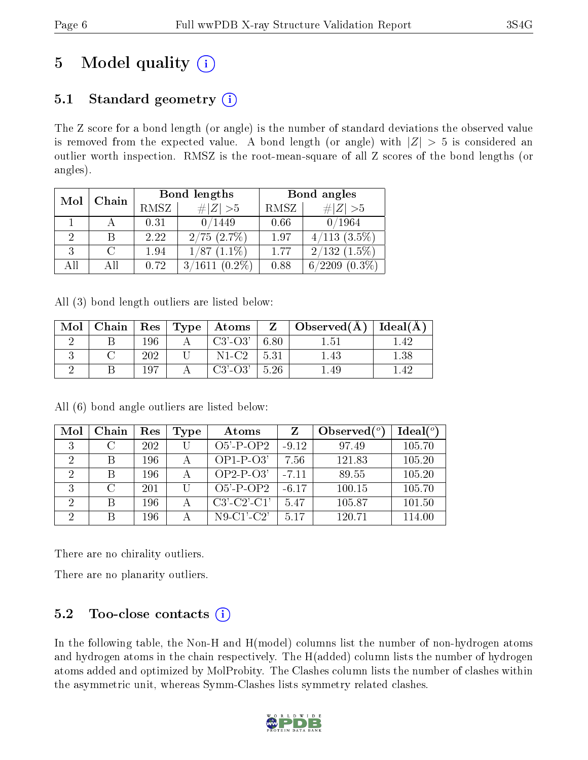# 5 Model quality  $(i)$

# 5.1 Standard geometry  $(i)$

The Z score for a bond length (or angle) is the number of standard deviations the observed value is removed from the expected value. A bond length (or angle) with  $|Z| > 5$  is considered an outlier worth inspection. RMSZ is the root-mean-square of all Z scores of the bond lengths (or angles).

| Mol | Chain |      | Bond lengths        | Bond angles |                         |  |
|-----|-------|------|---------------------|-------------|-------------------------|--|
|     |       | RMSZ | # $ Z >5$           | RMSZ        | # $ Z >5$               |  |
|     |       | 0.31 | 0/1449              | 0.66        | 0/1964                  |  |
| 9   |       | 2.22 | $2/75$ $(2.7\%)$    | 1.97        | $4/113$ $(3.5\%)$       |  |
| ર   |       | 1.94 | 1/87<br>$(1.1\%)$   | 1.77        | $2/132$ $(1.5\%)$       |  |
| All |       | 0.72 | 3/1611<br>$(0.2\%)$ | 0.88        | /2209<br>$(0.3\%)$<br>6 |  |

All (3) bond length outliers are listed below:

| Mol |     | $\mid$ Chain $\mid$ Res $\mid$ Type $\mid$ Atoms $\mid$ |              | $\sqrt{Z}$ Observed(A) | Ideal $(A)$ |
|-----|-----|---------------------------------------------------------|--------------|------------------------|-------------|
|     | 196 | $C3'$ - $O3'$                                           | 6.80         | 1.51                   |             |
|     | 202 | $N1-C2$                                                 | $\vert 5.31$ | .43                    | 1.38        |
|     | 107 | $C3'$ - $O3'$                                           | 5.26         | 49                     |             |

| Mol                         | Chain         | Res | Type | Atoms         | Z       | Observed $\binom{o}{c}$ | Ideal $(°)$ |
|-----------------------------|---------------|-----|------|---------------|---------|-------------------------|-------------|
|                             | $\mathcal{C}$ | 202 |      | $O5'$ -P-OP2  | $-9.12$ | 97.49                   | 105.70      |
| 2                           |               | 196 |      | $OP1-P-O3'$   | 7.56    | 121.83                  | 105.20      |
| 2                           | B             | 196 |      | $OP2-P-O3'$   | $-7.11$ | 89.55                   | 105.20      |
| २                           | $\cap$        | 201 | H    | $O5'$ -P-OP2  | $-6.17$ | 100.15                  | 105.70      |
| $\mathcal{D}_{\mathcal{A}}$ | B             | 196 |      | $C3'-C2'-C1'$ | 5.47    | 105.87                  | 101.50      |
| 2                           | R             | 196 |      | $N9-C1-C2'$   | 517     | 120.71                  | 114.00      |

All (6) bond angle outliers are listed below:

There are no chirality outliers.

There are no planarity outliers.

# 5.2 Too-close contacts  $(i)$

In the following table, the Non-H and H(model) columns list the number of non-hydrogen atoms and hydrogen atoms in the chain respectively. The H(added) column lists the number of hydrogen atoms added and optimized by MolProbity. The Clashes column lists the number of clashes within the asymmetric unit, whereas Symm-Clashes lists symmetry related clashes.

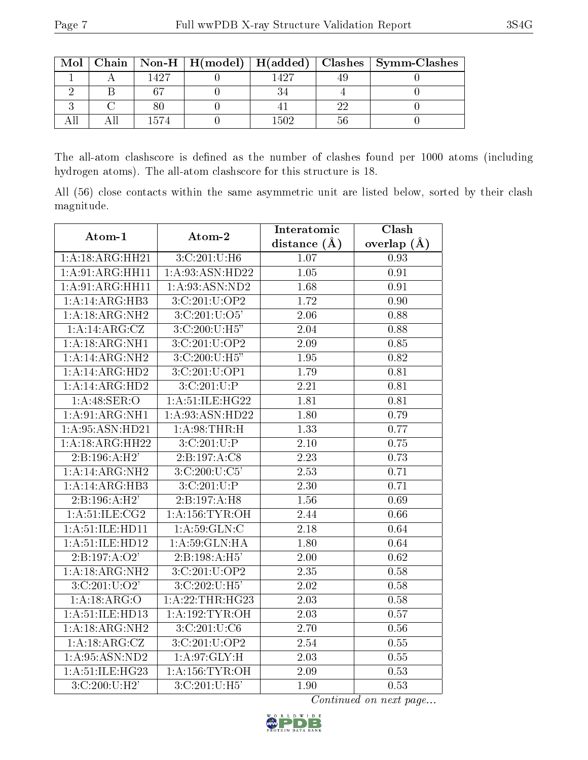| Mol |      |         |    | Chain   Non-H   H(model)   H(added)   Clashes   Symm-Clashes |
|-----|------|---------|----|--------------------------------------------------------------|
|     | 1497 | 1 4 9 7 |    |                                                              |
|     |      |         |    |                                                              |
|     |      |         | າງ |                                                              |
|     | 1574 | 1502    |    |                                                              |

The all-atom clashscore is defined as the number of clashes found per 1000 atoms (including hydrogen atoms). The all-atom clashscore for this structure is 18.

All (56) close contacts within the same asymmetric unit are listed below, sorted by their clash magnitude.

| Atom-1                             | Atom-2            | Interatomic       | Clash             |
|------------------------------------|-------------------|-------------------|-------------------|
|                                    |                   | distance $(\AA)$  | overlap $(A)$     |
| 1:A:18:ARG:HH21                    | 3:C:201:U:H6      | 1.07              | 0.93              |
| 1:A:91:ARG:HH11                    | 1:A:93:ASN:HD22   | $\overline{1.05}$ | $\overline{0.91}$ |
| 1:A:91:ARG:HH11                    | 1: A:93: ASN:ND2  | 1.68              | 0.91              |
| 1:A:14:ARG:HB3                     | 3:C:201:U:OP2     | 1.72              | 0.90              |
| 1:A:18:ARG:NH2                     | 3: C: 201: U: O5' | 2.06              | 0.88              |
| 1:A:4:ARG:CZ                       | 3:C:200:U:H5"     | 2.04              | 0.88              |
| 1:A:18:ARG:NH1                     | 3:C:201:U:OP2     | 2.09              | 0.85              |
| 1:A:4:ARG:NH2                      | 3:C:200:U:H5"     | 1.95              | 0.82              |
| 1:A:14:ARG:HD2                     | 3:C:201:U:OP1     | 1.79              | 0.81              |
| 1: A:14: ARG: HD2                  | 3:C:201:U:P       | 2.21              | 0.81              |
| 1:A:48:SER:O                       | 1:A:51:ILE:HG22   | 1.81              | 0.81              |
| 1:A:91:ARG:NH1                     | 1:A:93:ASN:HD22   | 1.80              | 0.79              |
| 1:A:95:ASN:HD21                    | 1: A:98:THR:H     | 1.33              | 0.77              |
| 1:A:18:ARG:HH22                    | 3: C: 201: U:P    | 2.10              | 0.75              |
| 2:B:196:A:H2'                      | 2:B:197:A:C8      | 2.23              | 0.73              |
| 1:A:4:ARG:NH2                      | 3: C: 200: U: C5' | 2.53              | 0.71              |
| 1:A:14:ARG:HB3                     | 3:C:201:U:P       | $\overline{2.30}$ | 0.71              |
| 2:B:196:A:H2'                      | 2:B:197:A:H8      | 1.56              | 0.69              |
| 1: A:51:ILE: CG2                   | 1: A:156:TYR:OH   | 2.44              | 0.66              |
| 1:A:51:ILE:HD11                    | 1: A:59: GLN: C   | 2.18              | 0.64              |
| 1: A:51: ILE: HD12                 | 1: A:59: GLN: HA  | 1.80              | 0.64              |
| 2:B:197:A:O2'                      | 2:B:198:A:H5'     | 2.00              | 0.62              |
| 1:A:18:ARG:NH2                     | 3:C:201:U:OP2     | 2.35              | 0.58              |
| 3:C:201:U:O2'                      | 3:C:202:U:H5'     | $\overline{2.02}$ | 0.58              |
| 1:A:18:ARG:O                       | 1:A:22:THR:HG23   | 2.03              | 0.58              |
| 1:A:51:ILE:HD13                    | 1: A:192: TYR:OH  | 2.03              | 0.57              |
| 1:A:18:ARG:NH2                     | 3: C: 201: U: C6  | 2.70              | 0.56              |
| $1:A:18: \overline{\text{ARG:CZ}}$ | 3:C:201:U:OP2     | 2.54              | 0.55              |
| 1: A:95: ASN:ND2                   | 1: A:97: GLY: H   | $\overline{2.03}$ | 0.55              |
| 1: A:51: ILE: HG23                 | 1: A:156: TYR:OH  | 2.09              | 0.53              |
| 3:C:200:U:H2'                      | 3:C:201:U:H5'     | 1.90              | 0.53              |

Continued on next page...

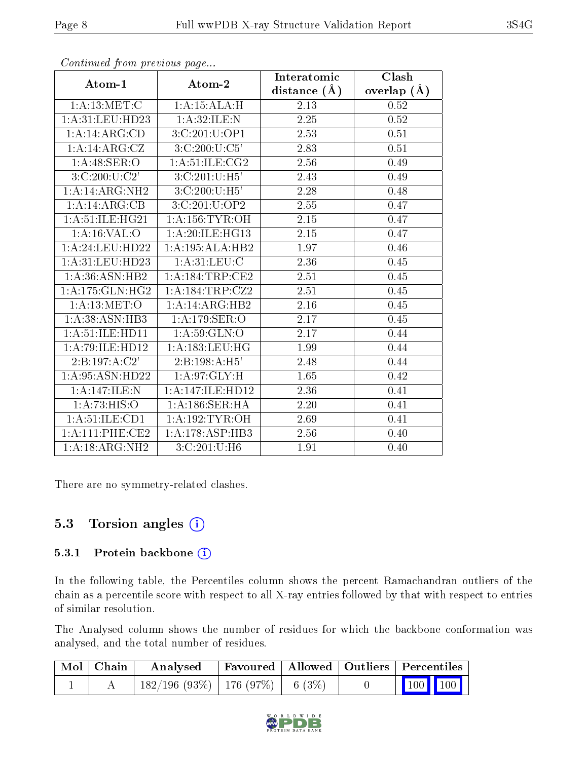|                     |                                           | Interatomic       | Clash         |
|---------------------|-------------------------------------------|-------------------|---------------|
| Atom-1              | Atom-2                                    | distance $(\AA)$  | overlap $(A)$ |
| 1: A:13:MET:C       | 1:A:15:ALA:H                              | 2.13              | 0.52          |
| 1: A:31:LEU:HD23    | 1:A:32:ILE:N                              | $2.25\,$          | $0.52\,$      |
| 1:A:14:ARG:CD       | 3:C:201:U:OP1                             | 2.53              | 0.51          |
| 1:A:4:ARG:CZ        | 3:C:200:U:C5'                             | 2.83              | 0.51          |
| 1:A:48:SER:O        | 1: A:51: ILE: CG2                         | 2.56              | 0.49          |
| 3:C:200:U:C2'       | 3:C:201:U:H5'                             | 2.43              | 0.49          |
| 1:A:4:ARG:NH2       | 3:C:200:U:H5'                             | 2.28              | 0.48          |
| 1:A:4:ARG:CB        | 3:C:201:U:OP2                             | 2.55              | 0.47          |
| 1:A:51:ILE:HG21     | 1: A:156:TYR:OH                           | $2.\overline{15}$ | 0.47          |
| 1: A:16: VAL:O      | 1: A:20: ILE: HG13                        | 2.15              | 0.47          |
| 1:A:24:LEU:HD22     | 1:A:195:ALA:HB2                           | 1.97              | 0.46          |
| 1: A:31:LEU:HD23    | 1: A:31: LEU: C                           | 2.36              | 0.45          |
| 1: A:36: ASN: HB2   | 1:A:184:TRP:CE2                           | $2.51\,$          | 0.45          |
| 1: A:175: GLN: HG2  | 1:A:184:TRP:CZ2                           | 2.51              | $0.45\,$      |
| 1: A:13: MET:O      | $1:A:14:ARG:\overline{HB2}$               | $2.16\,$          | 0.45          |
| 1: A:38: ASN:HB3    | 1:A:179:SER:O                             | 2.17              | 0.45          |
| 1:A:51:ILE:HD11     | 1: A:59: GLN:O                            | 2.17              | 0.44          |
| 1:A:79:ILE:HD12     | 1:A:183:LEU:HG                            | 1.99              | 0.44          |
| 2: B: 197: A: C2'   | 2:B:198:A:H5'                             | 2.48              | 0.44          |
| 1: A:95: ASN:HD22   | 1: A:97: GLY:H                            | 1.65              | 0.42          |
| 1:A:147:ILE:N       | 1:A:147:ILE:HD12                          | 2.36              | 0.41          |
| 1:A:73:HIS:O        | $1:A:186:\overline{\text{SER:H}\text{A}}$ | 2.20              | 0.41          |
| 1: A: 51: ILE: CD1  | 1: A:192: TYR:OH                          | 2.69              | 0.41          |
| 1: A: 111: PHE: CE2 | 1:A:178:ASP:HB3                           | 2.56              | 0.40          |
| 1:A:18:ARG:NH2      | 3: C: 201: U:H6                           | 1.91              | 0.40          |

Continued from previous page...

There are no symmetry-related clashes.

# 5.3 Torsion angles  $(i)$

#### 5.3.1 Protein backbone (i)

In the following table, the Percentiles column shows the percent Ramachandran outliers of the chain as a percentile score with respect to all X-ray entries followed by that with respect to entries of similar resolution.

The Analysed column shows the number of residues for which the backbone conformation was analysed, and the total number of residues.

| Mol   Chain | Analysed                                |  | Favoured   Allowed   Outliers   Percentiles |
|-------------|-----------------------------------------|--|---------------------------------------------|
|             | $182/196$ (93\%)   176 (97\%)   6 (3\%) |  | $\vert$ 100 100 $\vert$                     |

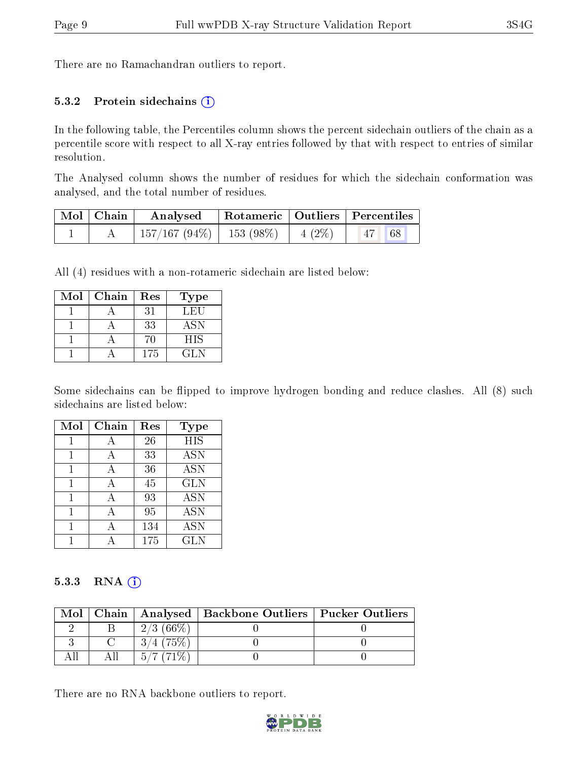There are no Ramachandran outliers to report.

#### 5.3.2 Protein sidechains  $(i)$

In the following table, the Percentiles column shows the percent sidechain outliers of the chain as a percentile score with respect to all X-ray entries followed by that with respect to entries of similar resolution.

The Analysed column shows the number of residues for which the sidechain conformation was analysed, and the total number of residues.

| Mol   Chain | Analysed                                |  | Rotameric   Outliers   Percentiles |
|-------------|-----------------------------------------|--|------------------------------------|
|             | $157/167 (94\%)$   153 (98\%)   4 (2\%) |  | $ 47 $ 68                          |

All (4) residues with a non-rotameric sidechain are listed below:

| Mol | Chain | Res | <b>Type</b> |
|-----|-------|-----|-------------|
|     |       | 31  | LEU         |
|     |       | 33  | <b>ASN</b>  |
|     |       | 70  | <b>HIS</b>  |
|     |       | 175 | GL N        |

Some sidechains can be flipped to improve hydrogen bonding and reduce clashes. All (8) such sidechains are listed below:

| Mol | Chain | Res | Type       |
|-----|-------|-----|------------|
|     |       | 26  | <b>HIS</b> |
| 1   | А     | 33  | <b>ASN</b> |
| 1   | А     | 36  | <b>ASN</b> |
| 1   | А     | 45  | <b>GLN</b> |
|     | А     | 93  | <b>ASN</b> |
|     | А     | 95  | <b>ASN</b> |
|     |       | 134 | <b>ASN</b> |
|     |       | 175 | <b>GLN</b> |

#### 5.3.3 RNA (i)

| Mol |              | Chain   Analysed   Backbone Outliers   Pucker Outliers |  |
|-----|--------------|--------------------------------------------------------|--|
|     | 2/3(66%)     |                                                        |  |
|     |              |                                                        |  |
|     | $5/7$ (71\%) |                                                        |  |

There are no RNA backbone outliers to report.

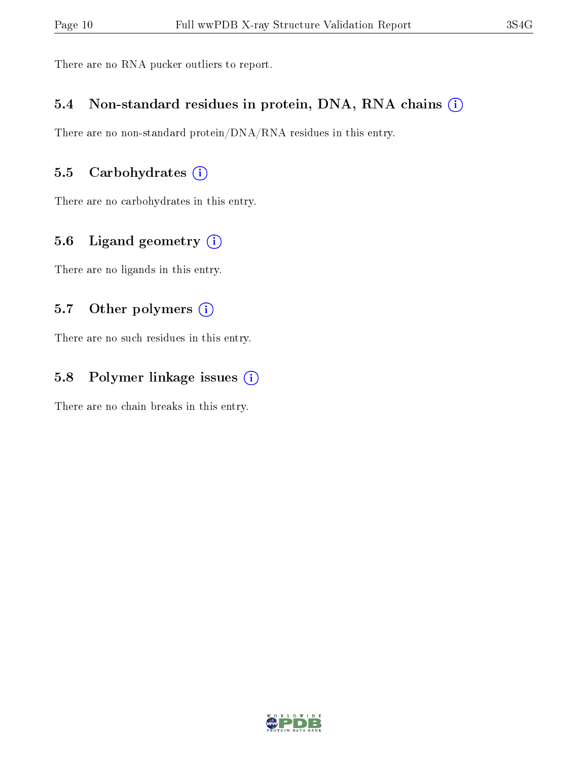There are no RNA pucker outliers to report.

#### 5.4 Non-standard residues in protein, DNA, RNA chains (i)

There are no non-standard protein/DNA/RNA residues in this entry.

# 5.5 Carbohydrates (i)

There are no carbohydrates in this entry.

### 5.6 Ligand geometry (i)

There are no ligands in this entry.

### 5.7 [O](https://www.wwpdb.org/validation/2017/XrayValidationReportHelp#nonstandard_residues_and_ligands)ther polymers  $(i)$

There are no such residues in this entry.

# 5.8 Polymer linkage issues (i)

There are no chain breaks in this entry.